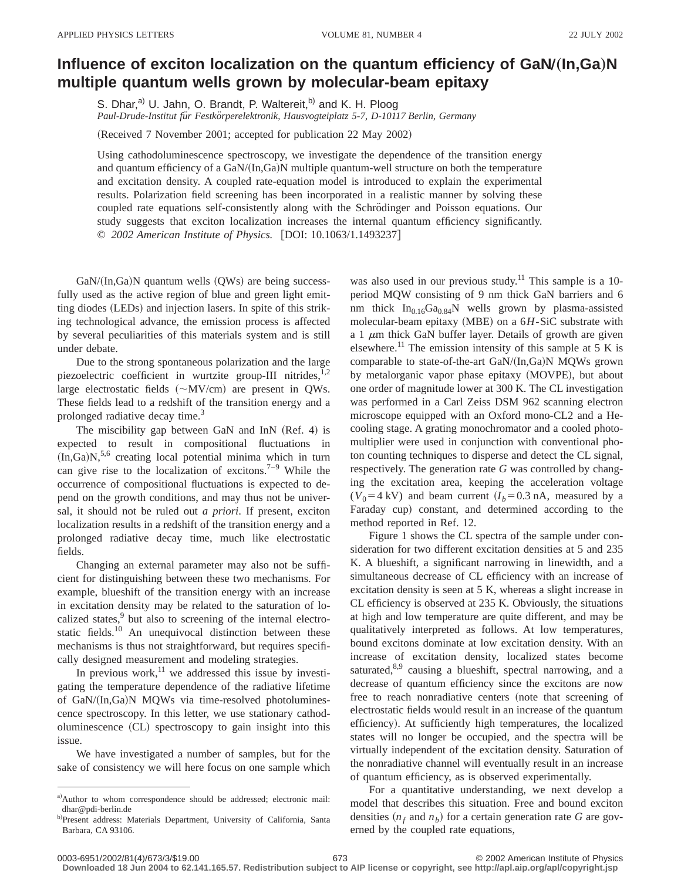## **Influence of exciton localization on the quantum efficiency of GaN/(In,Ga)N multiple quantum wells grown by molecular-beam epitaxy**

S. Dhar,<sup>a)</sup> U. Jahn, O. Brandt, P. Waltereit,<sup>b)</sup> and K. H. Ploog

Paul-Drude-Institut für Festkörperelektronik, Hausvogteiplatz 5-7, D-10117 Berlin, Germany

(Received 7 November 2001; accepted for publication 22 May 2002)

Using cathodoluminescence spectroscopy, we investigate the dependence of the transition energy and quantum efficiency of a  $GaN/(In,Ga)N$  multiple quantum-well structure on both the temperature and excitation density. A coupled rate-equation model is introduced to explain the experimental results. Polarization field screening has been incorporated in a realistic manner by solving these coupled rate equations self-consistently along with the Schrödinger and Poisson equations. Our study suggests that exciton localization increases the internal quantum efficiency significantly. © 2002 American Institute of Physics. [DOI: 10.1063/1.1493237]

 $GaN/(In,Ga)N$  quantum wells  $(QWs)$  are being successfully used as the active region of blue and green light emitting diodes (LEDs) and injection lasers. In spite of this striking technological advance, the emission process is affected by several peculiarities of this materials system and is still under debate.

Due to the strong spontaneous polarization and the large piezoelectric coefficient in wurtzite group-III nitrides, $^{1,2}$ large electrostatic fields  $({\sim}MV/cm)$  are present in QWs. These fields lead to a redshift of the transition energy and a prolonged radiative decay time.<sup>3</sup>

The miscibility gap between GaN and InN  $(Ref. 4)$  is expected to result in compositional fluctuations in  $(In,Ga)N,5,6$  creating local potential minima which in turn can give rise to the localization of excitons.<sup>7–9</sup> While the occurrence of compositional fluctuations is expected to depend on the growth conditions, and may thus not be universal, it should not be ruled out *a priori*. If present, exciton localization results in a redshift of the transition energy and a prolonged radiative decay time, much like electrostatic fields.

Changing an external parameter may also not be sufficient for distinguishing between these two mechanisms. For example, blueshift of the transition energy with an increase in excitation density may be related to the saturation of localized states,<sup>9</sup> but also to screening of the internal electrostatic fields.<sup>10</sup> An unequivocal distinction between these mechanisms is thus not straightforward, but requires specifically designed measurement and modeling strategies.

In previous work, $^{11}$  we addressed this issue by investigating the temperature dependence of the radiative lifetime of GaN/(In,Ga)N MQWs via time-resolved photoluminescence spectroscopy. In this letter, we use stationary cathodoluminescence (CL) spectroscopy to gain insight into this issue.

We have investigated a number of samples, but for the sake of consistency we will here focus on one sample which was also used in our previous study.<sup>11</sup> This sample is a 10period MQW consisting of 9 nm thick GaN barriers and 6 nm thick  $In<sub>0.16</sub>Ga<sub>0.84</sub>N$  wells grown by plasma-assisted molecular-beam epitaxy (MBE) on a 6*H*-SiC substrate with a 1  $\mu$ m thick GaN buffer layer. Details of growth are given elsewhere.<sup>11</sup> The emission intensity of this sample at 5 K is comparable to state-of-the-art  $GaN/(In,Ga)N$  MQWs grown by metalorganic vapor phase epitaxy (MOVPE), but about one order of magnitude lower at 300 K. The CL investigation was performed in a Carl Zeiss DSM 962 scanning electron microscope equipped with an Oxford mono-CL2 and a Hecooling stage. A grating monochromator and a cooled photomultiplier were used in conjunction with conventional photon counting techniques to disperse and detect the CL signal, respectively. The generation rate *G* was controlled by changing the excitation area, keeping the acceleration voltage  $(V_0 = 4 \text{ kV})$  and beam current  $(I_b = 0.3 \text{ nA})$ , measured by a Faraday cup) constant, and determined according to the method reported in Ref. 12.

Figure 1 shows the CL spectra of the sample under consideration for two different excitation densities at 5 and 235 K. A blueshift, a significant narrowing in linewidth, and a simultaneous decrease of CL efficiency with an increase of excitation density is seen at 5 K, whereas a slight increase in CL efficiency is observed at 235 K. Obviously, the situations at high and low temperature are quite different, and may be qualitatively interpreted as follows. At low temperatures, bound excitons dominate at low excitation density. With an increase of excitation density, localized states become saturated,<sup>8,9</sup> causing a blueshift, spectral narrowing, and a decrease of quantum efficiency since the excitons are now free to reach nonradiative centers (note that screening of electrostatic fields would result in an increase of the quantum efficiency). At sufficiently high temperatures, the localized states will no longer be occupied, and the spectra will be virtually independent of the excitation density. Saturation of the nonradiative channel will eventually result in an increase of quantum efficiency, as is observed experimentally.

For a quantitative understanding, we next develop a model that describes this situation. Free and bound exciton densities  $(n_f$  and  $n_b)$  for a certain generation rate *G* are governed by the coupled rate equations,

a)Author to whom correspondence should be addressed; electronic mail: dhar@pdi-berlin.de

b)Present address: Materials Department, University of California, Santa Barbara, CA 93106.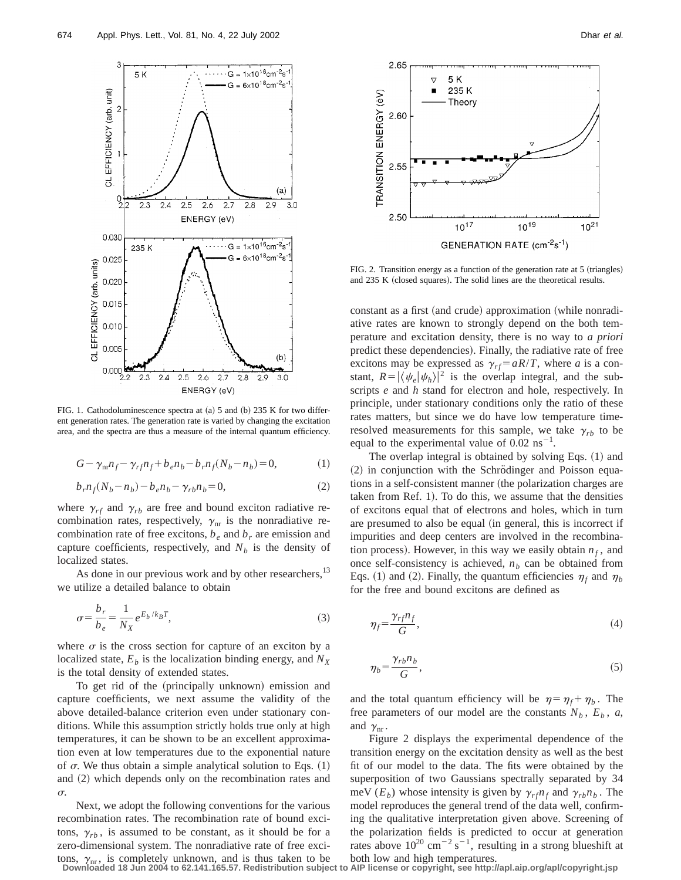

FIG. 1. Cathodoluminescence spectra at  $(a)$  5 and  $(b)$  235 K for two different generation rates. The generation rate is varied by changing the excitation area, and the spectra are thus a measure of the internal quantum efficiency.

$$
G - \gamma_{nr} n_f - \gamma_{rf} n_f + b_e n_b - b_r n_f (N_b - n_b) = 0,
$$
 (1)

$$
b_r n_f (N_b - n_b) - b_e n_b - \gamma_{rb} n_b = 0,
$$
\n(2)

where  $\gamma_{rf}$  and  $\gamma_{rb}$  are free and bound exciton radiative recombination rates, respectively,  $\gamma_{nr}$  is the nonradiative recombination rate of free excitons,  $b_e$  and  $b<sub>r</sub>$  are emission and capture coefficients, respectively, and  $N_b$  is the density of localized states.

As done in our previous work and by other researchers,<sup>13</sup> we utilize a detailed balance to obtain

$$
\sigma = \frac{b_r}{b_e} = \frac{1}{N_X} e^{E_b/k_B T},\tag{3}
$$

where  $\sigma$  is the cross section for capture of an exciton by a localized state,  $E_b$  is the localization binding energy, and  $N_X$ is the total density of extended states.

To get rid of the (principally unknown) emission and capture coefficients, we next assume the validity of the above detailed-balance criterion even under stationary conditions. While this assumption strictly holds true only at high temperatures, it can be shown to be an excellent approximation even at low temperatures due to the exponential nature of  $\sigma$ . We thus obtain a simple analytical solution to Eqs. (1) and  $(2)$  which depends only on the recombination rates and  $\sigma$ .

Next, we adopt the following conventions for the various recombination rates. The recombination rate of bound excitons,  $\gamma_{rb}$ , is assumed to be constant, as it should be for a zero-dimensional system. The nonradiative rate of free exci-



FIG. 2. Transition energy as a function of the generation rate at  $5$  (triangles) and  $235$  K (closed squares). The solid lines are the theoretical results.

constant as a first (and crude) approximation (while nonradiative rates are known to strongly depend on the both temperature and excitation density, there is no way to *a priori* predict these dependencies). Finally, the radiative rate of free excitons may be expressed as  $\gamma_{rf} = aR/T$ , where *a* is a constant,  $R = |\langle \psi_e | \psi_h \rangle|^2$  is the overlap integral, and the subscripts *e* and *h* stand for electron and hole, respectively. In principle, under stationary conditions only the ratio of these rates matters, but since we do have low temperature timeresolved measurements for this sample, we take  $\gamma_{rb}$  to be equal to the experimental value of  $0.02 \text{ ns}^{-1}$ .

The overlap integral is obtained by solving Eqs.  $(1)$  and (2) in conjunction with the Schrödinger and Poisson equations in a self-consistent manner (the polarization charges are taken from Ref. 1). To do this, we assume that the densities of excitons equal that of electrons and holes, which in turn are presumed to also be equal (in general, this is incorrect if impurities and deep centers are involved in the recombination process). However, in this way we easily obtain  $n_f$ , and once self-consistency is achieved,  $n<sub>b</sub>$  can be obtained from Eqs. (1) and (2). Finally, the quantum efficiencies  $\eta_f$  and  $\eta_b$ for the free and bound excitons are defined as

$$
\eta_f = \frac{\gamma_{rf} n_f}{G},\tag{4}
$$

$$
\eta_b = \frac{\gamma_{rb} n_b}{G},\tag{5}
$$

and the total quantum efficiency will be  $\eta = \eta_f + \eta_b$ . The free parameters of our model are the constants  $N_b$ ,  $E_b$ ,  $a$ , and  $\gamma_{nr}$ .

Figure 2 displays the experimental dependence of the transition energy on the excitation density as well as the best fit of our model to the data. The fits were obtained by the superposition of two Gaussians spectrally separated by 34 meV ( $E_b$ ) whose intensity is given by  $\gamma_{rf}n_f$  and  $\gamma_{rb}n_b$ . The model reproduces the general trend of the data well, confirming the qualitative interpretation given above. Screening of the polarization fields is predicted to occur at generation rates above  $10^{20}$  cm<sup>-2</sup> s<sup>-1</sup>, resulting in a strong blueshift at

tons,  $\gamma_{nr}$ , is completely unknown, and is thus taken to be both low and high temperatures.<br>Downloaded 18 Jun 2004 to 62.141.165.57. Redistribution subject to AIP license or copyright, see http://apl.aip.org/apl/copyrig